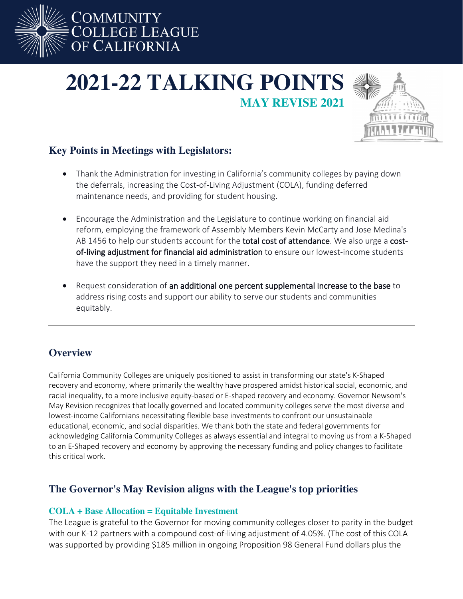

# **2021-22 TALKING POINTS MAY REVISE 2021**



## **Key Points in Meetings with Legislators:**

- Thank the Administration for investing in California's community colleges by paying down the deferrals, increasing the Cost-of-Living Adjustment (COLA), funding deferred maintenance needs, and providing for student housing.
- Encourage the Administration and the Legislature to continue working on financial aid reform, employing the framework of Assembly Members Kevin McCarty and Jose Medina's AB 1456 to help our students account for the total cost of attendance. We also urge a costof-living adjustment for financial aid administration to ensure our lowest-income students have the support they need in a timely manner.
- Request consideration of an additional one percent supplemental increase to the base to address rising costs and support our ability to serve our students and communities equitably.

## **Overview**

California Community Colleges are uniquely positioned to assist in transforming our state's K-Shaped recovery and economy, where primarily the wealthy have prospered amidst historical social, economic, and racial inequality, to a more inclusive equity-based or E-shaped recovery and economy. Governor Newsom's May Revision recognizes that locally governed and located community colleges serve the most diverse and lowest-income Californians necessitating flexible base investments to confront our unsustainable educational, economic, and social disparities. We thank both the state and federal governments for acknowledging California Community Colleges as always essential and integral to moving us from a K-Shaped to an E-Shaped recovery and economy by approving the necessary funding and policy changes to facilitate this critical work.

## **The Governor's May Revision aligns with the League's top priorities**

#### **COLA + Base Allocation = Equitable Investment**

The League is grateful to the Governor for moving community colleges closer to parity in the budget with our K-12 partners with a compound cost-of-living adjustment of 4.05%. (The cost of this COLA was supported by providing \$185 million in ongoing Proposition 98 General Fund dollars plus the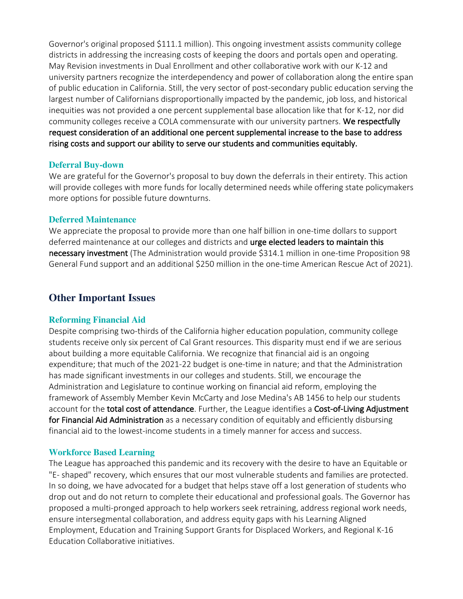Governor's original proposed \$111.1 million). This ongoing investment assists community college districts in addressing the increasing costs of keeping the doors and portals open and operating. May Revision investments in Dual Enrollment and other collaborative work with our K-12 and university partners recognize the interdependency and power of collaboration along the entire span of public education in California. Still, the very sector of post-secondary public education serving the largest number of Californians disproportionally impacted by the pandemic, job loss, and historical inequities was not provided a one percent supplemental base allocation like that for K-12, nor did community colleges receive a COLA commensurate with our university partners. We respectfully request consideration of an additional one percent supplemental increase to the base to address rising costs and support our ability to serve our students and communities equitably.

#### **Deferral Buy-down**

We are grateful for the Governor's proposal to buy down the deferrals in their entirety. This action will provide colleges with more funds for locally determined needs while offering state policymakers more options for possible future downturns.

#### **Deferred Maintenance**

We appreciate the proposal to provide more than one half billion in one-time dollars to support deferred maintenance at our colleges and districts and urge elected leaders to maintain this necessary investment (The Administration would provide \$314.1 million in one-time Proposition 98 General Fund support and an additional \$250 million in the one-time American Rescue Act of 2021).

### **Other Important Issues**

#### **Reforming Financial Aid**

Despite comprising two-thirds of the California higher education population, community college students receive only six percent of Cal Grant resources. This disparity must end if we are serious about building a more equitable California. We recognize that financial aid is an ongoing expenditure; that much of the 2021-22 budget is one-time in nature; and that the Administration has made significant investments in our colleges and students. Still, we encourage the Administration and Legislature to continue working on financial aid reform, employing the framework of Assembly Member Kevin McCarty and Jose Medina's AB 1456 to help our students account for the total cost of attendance. Further, the League identifies a Cost-of-Living Adjustment for Financial Aid Administration as a necessary condition of equitably and efficiently disbursing financial aid to the lowest-income students in a timely manner for access and success.

#### **Workforce Based Learning**

The League has approached this pandemic and its recovery with the desire to have an Equitable or "E- shaped" recovery, which ensures that our most vulnerable students and families are protected. In so doing, we have advocated for a budget that helps stave off a lost generation of students who drop out and do not return to complete their educational and professional goals. The Governor has proposed a multi-pronged approach to help workers seek retraining, address regional work needs, ensure intersegmental collaboration, and address equity gaps with his Learning Aligned Employment, Education and Training Support Grants for Displaced Workers, and Regional K-16 Education Collaborative initiatives.